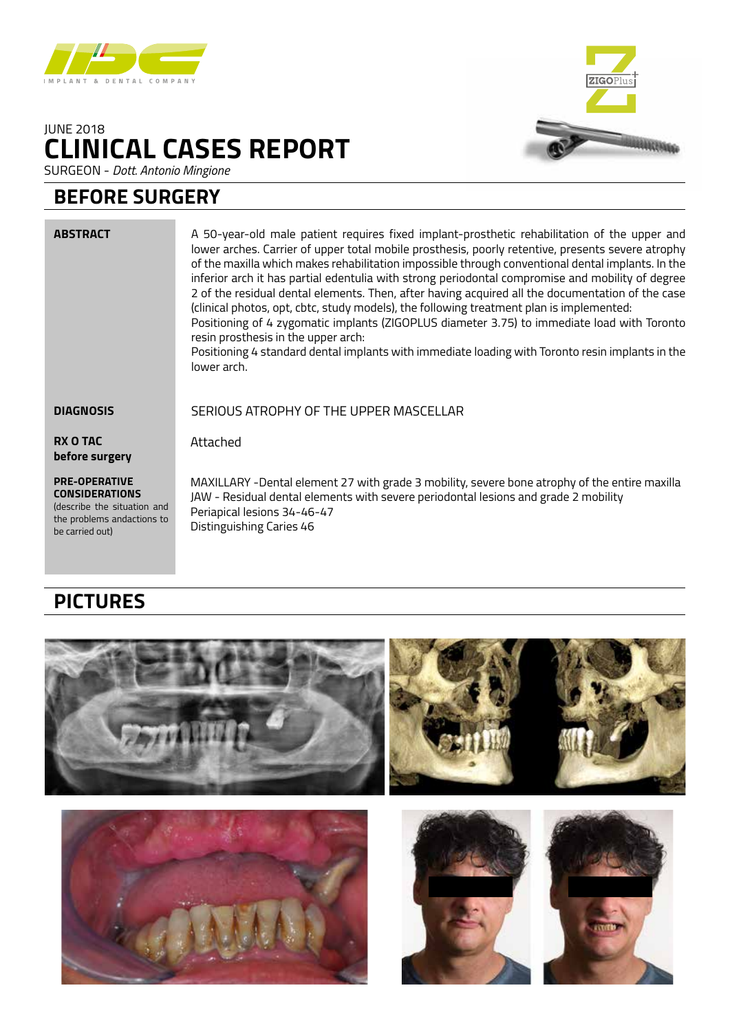

## **CLINICAL CASES REPORT** JUNE 2018



SURGEON - *Dott. Antonio Mingione*

## **BEFORE SURGERY**

| <b>ABSTRACT</b>                                                              | A 50-year-old male patient requires fixed implant-prosthetic rehabilitation of the upper and<br>lower arches. Carrier of upper total mobile prosthesis, poorly retentive, presents severe atrophy<br>of the maxilla which makes rehabilitation impossible through conventional dental implants. In the<br>inferior arch it has partial edentulia with strong periodontal compromise and mobility of degree<br>2 of the residual dental elements. Then, after having acquired all the documentation of the case<br>(clinical photos, opt, cbtc, study models), the following treatment plan is implemented:<br>Positioning of 4 zygomatic implants (ZIGOPLUS diameter 3.75) to immediate load with Toronto<br>resin prosthesis in the upper arch:<br>Positioning 4 standard dental implants with immediate loading with Toronto resin implants in the<br>lower arch. |
|------------------------------------------------------------------------------|---------------------------------------------------------------------------------------------------------------------------------------------------------------------------------------------------------------------------------------------------------------------------------------------------------------------------------------------------------------------------------------------------------------------------------------------------------------------------------------------------------------------------------------------------------------------------------------------------------------------------------------------------------------------------------------------------------------------------------------------------------------------------------------------------------------------------------------------------------------------|
| <b>DIAGNOSIS</b>                                                             | SERIOUS ATROPHY OF THE UPPER MASCELLAR                                                                                                                                                                                                                                                                                                                                                                                                                                                                                                                                                                                                                                                                                                                                                                                                                              |
| <b>RX O TAC</b><br>before surgery                                            | Attached                                                                                                                                                                                                                                                                                                                                                                                                                                                                                                                                                                                                                                                                                                                                                                                                                                                            |
| <b>PRE-OPERATIVE</b><br><b>CONSIDERATIONS</b><br>(describe the situation and | MAXILLARY -Dental element 27 with grade 3 mobility, severe bone atrophy of the entire maxilla<br>JAW - Residual dental elements with severe periodontal lesions and grade 2 mobility<br>Dorianical locions 21. I.C. I.7                                                                                                                                                                                                                                                                                                                                                                                                                                                                                                                                                                                                                                             |

Periapical lesions 34-46-47 Distinguishing Caries 46

# **PICTURES**

the problems andactions to

be carried out)

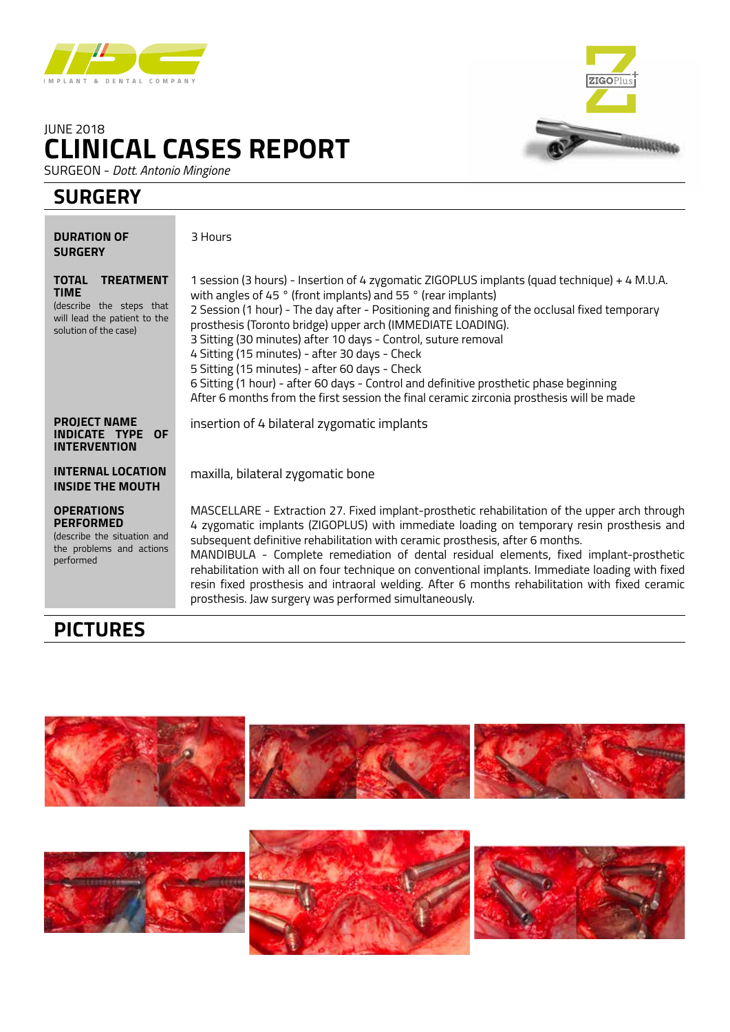

## **CLINICAL CASES REPORT** JUNE 2018

SURGEON - *Dott. Antonio Mingione*

### **SURGERY**

| <b>DURATION OF</b><br><b>SURGERY</b>                                                                                                 | 3 Hours                                                                                                                                                                                                                                                                                                                                                                                                                                                                                                                                                                                                                                                                                    |
|--------------------------------------------------------------------------------------------------------------------------------------|--------------------------------------------------------------------------------------------------------------------------------------------------------------------------------------------------------------------------------------------------------------------------------------------------------------------------------------------------------------------------------------------------------------------------------------------------------------------------------------------------------------------------------------------------------------------------------------------------------------------------------------------------------------------------------------------|
| <b>TOTAL</b><br><b>TREATMENT</b><br><b>TIME</b><br>(describe the steps that<br>will lead the patient to the<br>solution of the case) | 1 session (3 hours) - Insertion of 4 zygomatic ZIGOPLUS implants (quad technique) + 4 M.U.A.<br>with angles of 45 ° (front implants) and 55 ° (rear implants)<br>2 Session (1 hour) - The day after - Positioning and finishing of the occlusal fixed temporary<br>prosthesis (Toronto bridge) upper arch (IMMEDIATE LOADING).<br>3 Sitting (30 minutes) after 10 days - Control, suture removal<br>4 Sitting (15 minutes) - after 30 days - Check<br>5 Sitting (15 minutes) - after 60 days - Check<br>6 Sitting (1 hour) - after 60 days - Control and definitive prosthetic phase beginning<br>After 6 months from the first session the final ceramic zirconia prosthesis will be made |
| <b>PROJECT NAME</b><br>INDICATE TYPE OF<br><b>INTERVENTION</b>                                                                       | insertion of 4 bilateral zygomatic implants                                                                                                                                                                                                                                                                                                                                                                                                                                                                                                                                                                                                                                                |
| <b>INTERNAL LOCATION</b><br><b>INSIDE THE MOUTH</b>                                                                                  | maxilla, bilateral zygomatic bone                                                                                                                                                                                                                                                                                                                                                                                                                                                                                                                                                                                                                                                          |
| <b>OPERATIONS</b><br><b>PERFORMED</b><br>(describe the situation and<br>the problems and actions<br>performed                        | MASCELLARE - Extraction 27. Fixed implant-prosthetic rehabilitation of the upper arch through<br>4 zygomatic implants (ZIGOPLUS) with immediate loading on temporary resin prosthesis and<br>subsequent definitive rehabilitation with ceramic prosthesis, after 6 months.<br>MANDIBULA - Complete remediation of dental residual elements, fixed implant-prosthetic<br>rehabilitation with all on four technique on conventional implants. Immediate loading with fixed<br>resin fixed prosthesis and intraoral welding. After 6 months rehabilitation with fixed ceramic<br>prosthesis. Jaw surgery was performed simultaneously.                                                        |

**ZIGOPIL** 

ancense

## **PICTURES**